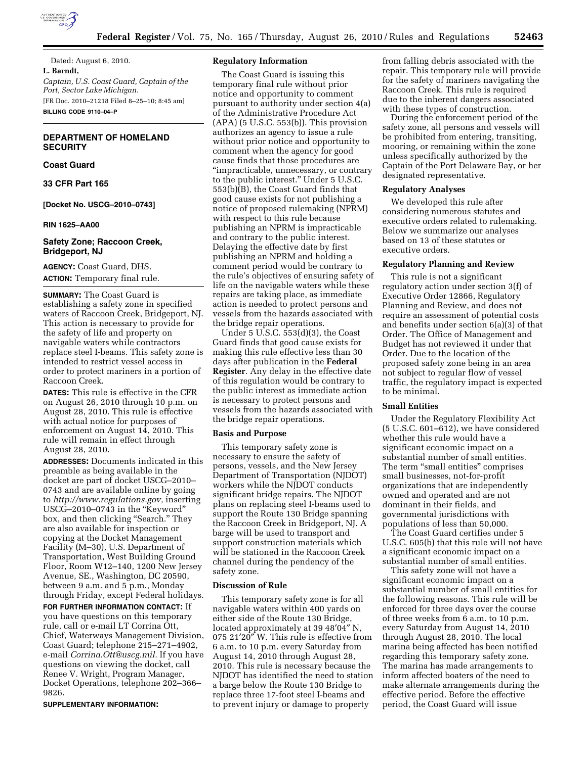

Dated: August 6, 2010. **L. Barndt,**  *Captain, U.S. Coast Guard, Captain of the Port, Sector Lake Michigan.*  [FR Doc. 2010–21218 Filed 8–25–10; 8:45 am] **BILLING CODE 9110–04–P** 

## **DEPARTMENT OF HOMELAND SECURITY**

## **Coast Guard**

### **33 CFR Part 165**

**[Docket No. USCG–2010–0743]** 

#### **RIN 1625–AA00**

## **Safety Zone; Raccoon Creek, Bridgeport, NJ**

**AGENCY:** Coast Guard, DHS. **ACTION:** Temporary final rule.

**SUMMARY:** The Coast Guard is establishing a safety zone in specified waters of Raccoon Creek, Bridgeport, NJ. This action is necessary to provide for the safety of life and property on navigable waters while contractors replace steel I-beams. This safety zone is intended to restrict vessel access in order to protect mariners in a portion of Raccoon Creek.

**DATES:** This rule is effective in the CFR on August 26, 2010 through 10 p.m. on August 28, 2010. This rule is effective with actual notice for purposes of enforcement on August 14, 2010. This rule will remain in effect through August 28, 2010.

**ADDRESSES:** Documents indicated in this preamble as being available in the docket are part of docket USCG–2010– 0743 and are available online by going to *[http://www.regulations.gov,](http://www.regulations.gov)* inserting USCG–2010–0743 in the ''Keyword'' box, and then clicking "Search." They are also available for inspection or copying at the Docket Management Facility (M–30), U.S. Department of Transportation, West Building Ground Floor, Room W12–140, 1200 New Jersey Avenue, SE., Washington, DC 20590, between 9 a.m. and 5 p.m., Monday through Friday, except Federal holidays.

**FOR FURTHER INFORMATION CONTACT:** If you have questions on this temporary rule, call or e-mail LT Corrina Ott, Chief, Waterways Management Division, Coast Guard; telephone 215–271–4902, e-mail *[Corrina.Ott@uscg.mil.](mailto:Corrina.Ott@uscg.mil)* If you have questions on viewing the docket, call Renee V. Wright, Program Manager, Docket Operations, telephone 202–366– 9826.

#### **SUPPLEMENTARY INFORMATION:**

#### **Regulatory Information**

The Coast Guard is issuing this temporary final rule without prior notice and opportunity to comment pursuant to authority under section 4(a) of the Administrative Procedure Act  $(APA)$  (5 U.S.C. 553(b)). This provision authorizes an agency to issue a rule without prior notice and opportunity to comment when the agency for good cause finds that those procedures are ''impracticable, unnecessary, or contrary to the public interest.'' Under 5 U.S.C. 553(b)(B), the Coast Guard finds that good cause exists for not publishing a notice of proposed rulemaking (NPRM) with respect to this rule because publishing an NPRM is impracticable and contrary to the public interest. Delaying the effective date by first publishing an NPRM and holding a comment period would be contrary to the rule's objectives of ensuring safety of life on the navigable waters while these repairs are taking place, as immediate action is needed to protect persons and vessels from the hazards associated with the bridge repair operations.

Under 5 U.S.C. 553(d)(3), the Coast Guard finds that good cause exists for making this rule effective less than 30 days after publication in the **Federal Register**. Any delay in the effective date of this regulation would be contrary to the public interest as immediate action is necessary to protect persons and vessels from the hazards associated with the bridge repair operations.

#### **Basis and Purpose**

This temporary safety zone is necessary to ensure the safety of persons, vessels, and the New Jersey Department of Transportation (NJDOT) workers while the NJDOT conducts significant bridge repairs. The NJDOT plans on replacing steel I-beams used to support the Route 130 Bridge spanning the Raccoon Creek in Bridgeport, NJ. A barge will be used to transport and support construction materials which will be stationed in the Raccoon Creek channel during the pendency of the safety zone.

#### **Discussion of Rule**

This temporary safety zone is for all navigable waters within 400 yards on either side of the Route 130 Bridge, located approximately at 39 48′04″ N, 075 21′20″ W. This rule is effective from 6 a.m. to 10 p.m. every Saturday from August 14, 2010 through August 28, 2010. This rule is necessary because the NJDOT has identified the need to station a barge below the Route 130 Bridge to replace three 17-foot steel I-beams and to prevent injury or damage to property

from falling debris associated with the repair. This temporary rule will provide for the safety of mariners navigating the Raccoon Creek. This rule is required due to the inherent dangers associated with these types of construction.

During the enforcement period of the safety zone, all persons and vessels will be prohibited from entering, transiting, mooring, or remaining within the zone unless specifically authorized by the Captain of the Port Delaware Bay, or her designated representative.

### **Regulatory Analyses**

We developed this rule after considering numerous statutes and executive orders related to rulemaking. Below we summarize our analyses based on 13 of these statutes or executive orders.

#### **Regulatory Planning and Review**

This rule is not a significant regulatory action under section 3(f) of Executive Order 12866, Regulatory Planning and Review, and does not require an assessment of potential costs and benefits under section 6(a)(3) of that Order. The Office of Management and Budget has not reviewed it under that Order. Due to the location of the proposed safety zone being in an area not subject to regular flow of vessel traffic, the regulatory impact is expected to be minimal.

## **Small Entities**

Under the Regulatory Flexibility Act (5 U.S.C. 601–612), we have considered whether this rule would have a significant economic impact on a substantial number of small entities. The term "small entities" comprises small businesses, not-for-profit organizations that are independently owned and operated and are not dominant in their fields, and governmental jurisdictions with populations of less than 50,000.

The Coast Guard certifies under 5 U.S.C. 605(b) that this rule will not have a significant economic impact on a substantial number of small entities.

This safety zone will not have a significant economic impact on a substantial number of small entities for the following reasons. This rule will be enforced for three days over the course of three weeks from 6 a.m. to 10 p.m. every Saturday from August 14, 2010 through August 28, 2010. The local marina being affected has been notified regarding this temporary safety zone. The marina has made arrangements to inform affected boaters of the need to make alternate arrangements during the effective period. Before the effective period, the Coast Guard will issue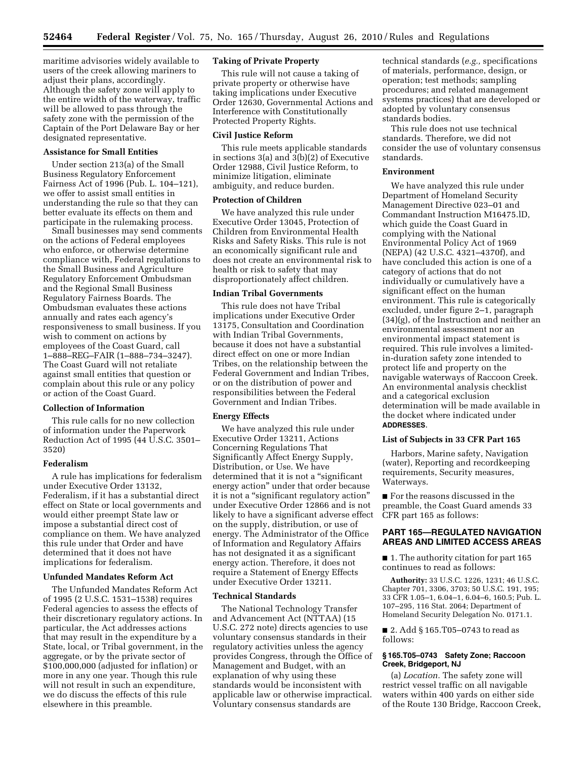maritime advisories widely available to users of the creek allowing mariners to adjust their plans, accordingly. Although the safety zone will apply to the entire width of the waterway, traffic will be allowed to pass through the safety zone with the permission of the Captain of the Port Delaware Bay or her designated representative.

## **Assistance for Small Entities**

Under section 213(a) of the Small Business Regulatory Enforcement Fairness Act of 1996 (Pub. L. 104–121), we offer to assist small entities in understanding the rule so that they can better evaluate its effects on them and participate in the rulemaking process.

Small businesses may send comments on the actions of Federal employees who enforce, or otherwise determine compliance with, Federal regulations to the Small Business and Agriculture Regulatory Enforcement Ombudsman and the Regional Small Business Regulatory Fairness Boards. The Ombudsman evaluates these actions annually and rates each agency's responsiveness to small business. If you wish to comment on actions by employees of the Coast Guard, call 1–888–REG–FAIR (1–888–734–3247). The Coast Guard will not retaliate against small entities that question or complain about this rule or any policy or action of the Coast Guard.

## **Collection of Information**

This rule calls for no new collection of information under the Paperwork Reduction Act of 1995 (44 U.S.C. 3501– 3520)

#### **Federalism**

A rule has implications for federalism under Executive Order 13132, Federalism, if it has a substantial direct effect on State or local governments and would either preempt State law or impose a substantial direct cost of compliance on them. We have analyzed this rule under that Order and have determined that it does not have implications for federalism.

### **Unfunded Mandates Reform Act**

The Unfunded Mandates Reform Act of 1995 (2 U.S.C. 1531–1538) requires Federal agencies to assess the effects of their discretionary regulatory actions. In particular, the Act addresses actions that may result in the expenditure by a State, local, or Tribal government, in the aggregate, or by the private sector of \$100,000,000 (adjusted for inflation) or more in any one year. Though this rule will not result in such an expenditure, we do discuss the effects of this rule elsewhere in this preamble.

## **Taking of Private Property**

This rule will not cause a taking of private property or otherwise have taking implications under Executive Order 12630, Governmental Actions and Interference with Constitutionally Protected Property Rights.

### **Civil Justice Reform**

This rule meets applicable standards in sections 3(a) and 3(b)(2) of Executive Order 12988, Civil Justice Reform, to minimize litigation, eliminate ambiguity, and reduce burden.

### **Protection of Children**

We have analyzed this rule under Executive Order 13045, Protection of Children from Environmental Health Risks and Safety Risks. This rule is not an economically significant rule and does not create an environmental risk to health or risk to safety that may disproportionately affect children.

## **Indian Tribal Governments**

This rule does not have Tribal implications under Executive Order 13175, Consultation and Coordination with Indian Tribal Governments, because it does not have a substantial direct effect on one or more Indian Tribes, on the relationship between the Federal Government and Indian Tribes, or on the distribution of power and responsibilities between the Federal Government and Indian Tribes.

## **Energy Effects**

We have analyzed this rule under Executive Order 13211, Actions Concerning Regulations That Significantly Affect Energy Supply, Distribution, or Use. We have determined that it is not a ''significant energy action'' under that order because it is not a ''significant regulatory action'' under Executive Order 12866 and is not likely to have a significant adverse effect on the supply, distribution, or use of energy. The Administrator of the Office of Information and Regulatory Affairs has not designated it as a significant energy action. Therefore, it does not require a Statement of Energy Effects under Executive Order 13211.

#### **Technical Standards**

The National Technology Transfer and Advancement Act (NTTAA) (15 U.S.C. 272 note) directs agencies to use voluntary consensus standards in their regulatory activities unless the agency provides Congress, through the Office of Management and Budget, with an explanation of why using these standards would be inconsistent with applicable law or otherwise impractical. Voluntary consensus standards are

technical standards (*e.g.,* specifications of materials, performance, design, or operation; test methods; sampling procedures; and related management systems practices) that are developed or adopted by voluntary consensus standards bodies.

This rule does not use technical standards. Therefore, we did not consider the use of voluntary consensus standards.

#### **Environment**

We have analyzed this rule under Department of Homeland Security Management Directive 023–01 and Commandant Instruction M16475.lD, which guide the Coast Guard in complying with the National Environmental Policy Act of 1969 (NEPA) (42 U.S.C. 4321–4370f), and have concluded this action is one of a category of actions that do not individually or cumulatively have a significant effect on the human environment. This rule is categorically excluded, under figure 2–1, paragraph (34)(g), of the Instruction and neither an environmental assessment nor an environmental impact statement is required. This rule involves a limitedin-duration safety zone intended to protect life and property on the navigable waterways of Raccoon Creek. An environmental analysis checklist and a categorical exclusion determination will be made available in the docket where indicated under **ADDRESSES**.

#### **List of Subjects in 33 CFR Part 165**

Harbors, Marine safety, Navigation (water), Reporting and recordkeeping requirements, Security measures, Waterways.

■ For the reasons discussed in the preamble, the Coast Guard amends 33 CFR part 165 as follows:

### **PART 165—REGULATED NAVIGATION AREAS AND LIMITED ACCESS AREAS**

■ 1. The authority citation for part 165 continues to read as follows:

**Authority:** 33 U.S.C. 1226, 1231; 46 U.S.C. Chapter 701, 3306, 3703; 50 U.S.C. 191, 195; 33 CFR 1.05–1, 6.04–1, 6.04–6, 160.5; Pub. L. 107–295, 116 Stat. 2064; Department of Homeland Security Delegation No. 0171.1.

■ 2. Add § 165.T05–0743 to read as follows:

## **§ 165.T05–0743 Safety Zone; Raccoon Creek, Bridgeport, NJ**

(a) *Location.* The safety zone will restrict vessel traffic on all navigable waters within 400 yards on either side of the Route 130 Bridge, Raccoon Creek,